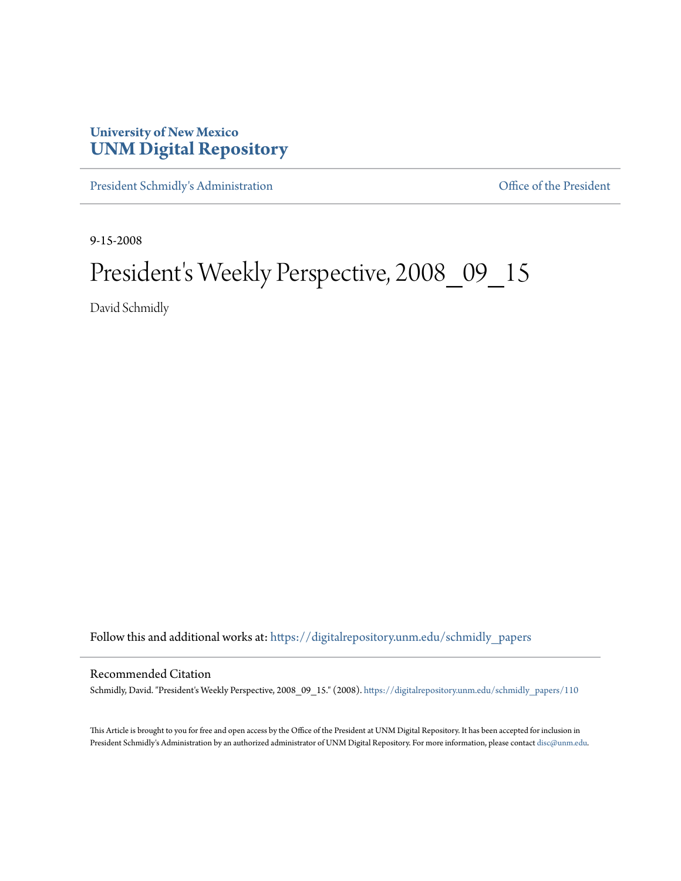## **University of New Mexico [UNM Digital Repository](https://digitalrepository.unm.edu?utm_source=digitalrepository.unm.edu%2Fschmidly_papers%2F110&utm_medium=PDF&utm_campaign=PDFCoverPages)**

[President Schmidly's Administration](https://digitalrepository.unm.edu/schmidly_papers?utm_source=digitalrepository.unm.edu%2Fschmidly_papers%2F110&utm_medium=PDF&utm_campaign=PDFCoverPages) [Office of the President](https://digitalrepository.unm.edu/ofc_president?utm_source=digitalrepository.unm.edu%2Fschmidly_papers%2F110&utm_medium=PDF&utm_campaign=PDFCoverPages)

9-15-2008

## President's Weekly Perspective, 2008\_09\_15

David Schmidly

Follow this and additional works at: [https://digitalrepository.unm.edu/schmidly\\_papers](https://digitalrepository.unm.edu/schmidly_papers?utm_source=digitalrepository.unm.edu%2Fschmidly_papers%2F110&utm_medium=PDF&utm_campaign=PDFCoverPages)

## Recommended Citation

Schmidly, David. "President's Weekly Perspective, 2008\_09\_15." (2008). [https://digitalrepository.unm.edu/schmidly\\_papers/110](https://digitalrepository.unm.edu/schmidly_papers/110?utm_source=digitalrepository.unm.edu%2Fschmidly_papers%2F110&utm_medium=PDF&utm_campaign=PDFCoverPages)

This Article is brought to you for free and open access by the Office of the President at UNM Digital Repository. It has been accepted for inclusion in President Schmidly's Administration by an authorized administrator of UNM Digital Repository. For more information, please contact [disc@unm.edu](mailto:disc@unm.edu).